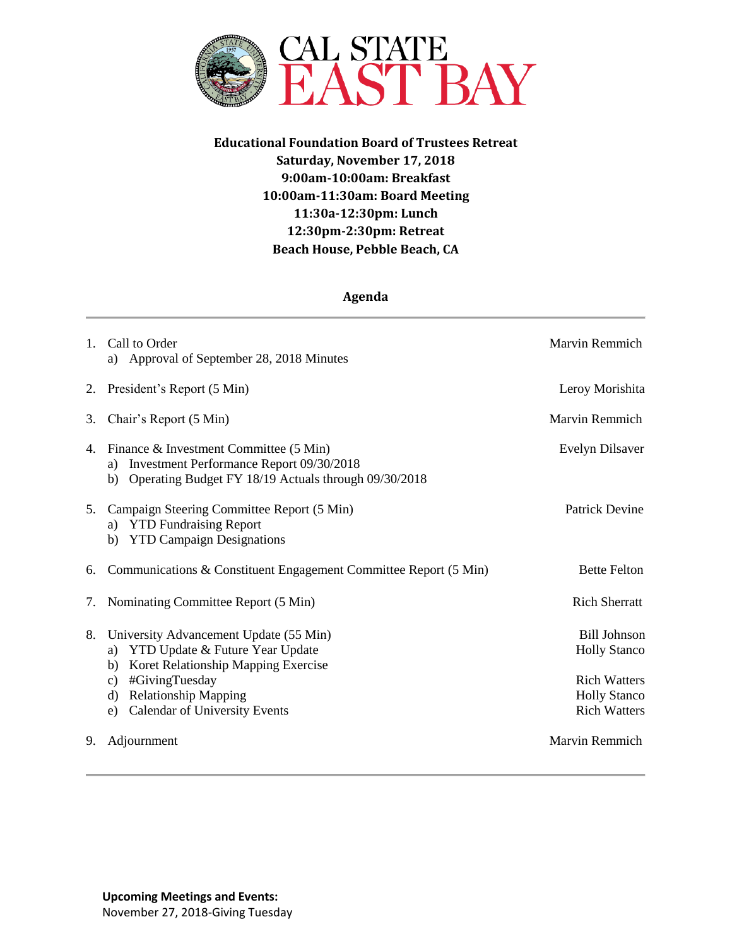

**Educational Foundation Board of Trustees Retreat Saturday, November 17, 2018 9:00am-10:00am: Breakfast 10:00am-11:30am: Board Meeting 11:30a-12:30pm: Lunch 12:30pm-2:30pm: Retreat Beach House, Pebble Beach, CA**

## **Agenda**

| $1_{-}$ | Call to Order<br>a) Approval of September 28, 2018 Minutes                                                                                                                                                                           | Marvin Remmich                                                                                                  |
|---------|--------------------------------------------------------------------------------------------------------------------------------------------------------------------------------------------------------------------------------------|-----------------------------------------------------------------------------------------------------------------|
|         | 2. President's Report (5 Min)                                                                                                                                                                                                        | Leroy Morishita                                                                                                 |
| 3.      | Chair's Report (5 Min)                                                                                                                                                                                                               | Marvin Remmich                                                                                                  |
| 4.      | Finance & Investment Committee (5 Min)<br>Investment Performance Report 09/30/2018<br>a)<br>Operating Budget FY 18/19 Actuals through 09/30/2018<br>b)                                                                               | Evelyn Dilsaver                                                                                                 |
| 5.      | Campaign Steering Committee Report (5 Min)<br>a) YTD Fundraising Report<br>b) YTD Campaign Designations                                                                                                                              | <b>Patrick Devine</b>                                                                                           |
| 6.      | Communications & Constituent Engagement Committee Report (5 Min)                                                                                                                                                                     | <b>Bette Felton</b>                                                                                             |
| 7.      | Nominating Committee Report (5 Min)                                                                                                                                                                                                  | <b>Rich Sherratt</b>                                                                                            |
| 8.      | University Advancement Update (55 Min)<br>YTD Update & Future Year Update<br>a)<br>b) Koret Relationship Mapping Exercise<br>#GivingTuesday<br>C)<br><b>Relationship Mapping</b><br>d)<br><b>Calendar of University Events</b><br>e) | <b>Bill Johnson</b><br><b>Holly Stanco</b><br><b>Rich Watters</b><br><b>Holly Stanco</b><br><b>Rich Watters</b> |
| 9.      | Adjournment                                                                                                                                                                                                                          | Marvin Remmich                                                                                                  |